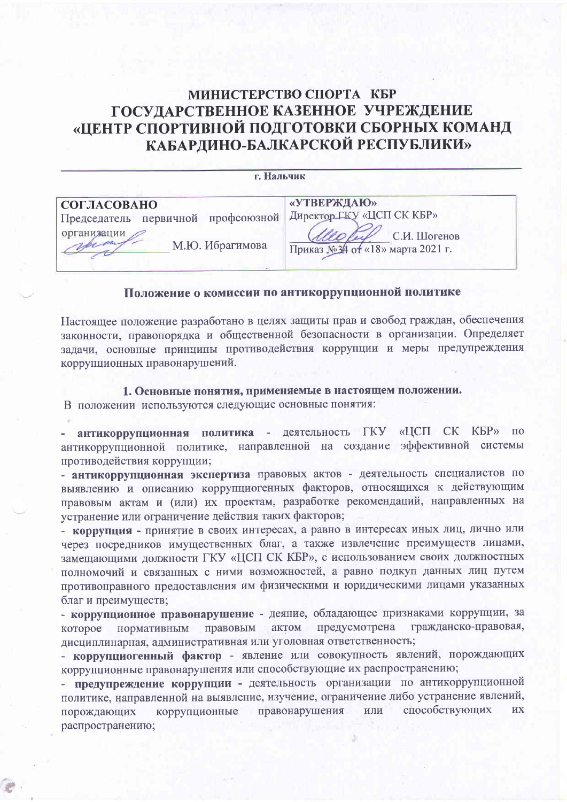### МИНИСТЕРСТВО СПОРТА КБР ГОСУДАРСТВЕННОЕ КАЗЕННОЕ УЧРЕЖДЕНИЕ «ЦЕНТР СПОРТИВНОЙ ПОДГОТОВКИ СБОРНЫХ КОМАНД КАБАРДИНО-БАЛКАРСКОЙ РЕСПУБЛИКИ»

| г. Нальчик                         |                                  |
|------------------------------------|----------------------------------|
| СОГЛАСОВАНО                        | «УТВЕРЖДАЮ»                      |
| Председатель первичной профсоюзной | Директор ГКУ «ЦСП СК КБР»        |
| организации                        | С.И. Шогенов                     |
| М.Ю. Ибрагимова                    | Приказ №34 от «18» марта 2021 г. |

#### Положение о комиссии по антикоррупционной политике

Настоящее положение разработано в целях защиты прав и свобод граждан, обеспечения законности, правопорядка и общественной безопасности в организации. Определяет задачи, основные принципы противодействия коррупции и меры предупреждения коррупционных правонарушений.

#### 1. Основные понятия, применяемые в настоящем положении.

В положении используются следующие основные понятия:

антикоррупционная политика - деятельность ГКУ «ЦСП СК КБР» по антикоррупционной политике, направленной на создание эффективной системы противодействия коррупции;

- антикоррупционная экспертиза правовых актов - деятельность специалистов по выявлению и описанию коррупциогенных факторов, относящихся к действующим правовым актам и (или) их проектам, разработке рекомендаций, направленных на устранение или ограничение действия таких факторов;

- коррупция - принятие в своих интересах, а равно в интересах иных лиц, лично или через посредников имущественных благ, а также извлечение преимуществ лицами, замешающими должности ГКУ «ЦСП СК КБР», с использованием своих должностных полномочий и связанных с ними возможностей, а равно подкуп данных лиц путем противоправного предоставления им физическими и юридическими лицами указанных благ и преимуществ;

- коррупционное правонарушение - деяние, обладающее признаками коррупции, за гражданско-правовая, предусмотрена актом которое нормативным правовым дисциплинарная, административная или уголовная ответственность;

- коррупциогенный фактор - явление или совокупность явлений, порождающих коррупционные правонарушения или способствующие их распространению;

- предупреждение коррупции - деятельность организации по антикоррупционной политике, направленной на выявление, изучение, ограничение либо устранение явлений, способствующих правонарушения ИЛИ ИХ порождающих коррупционные распространению;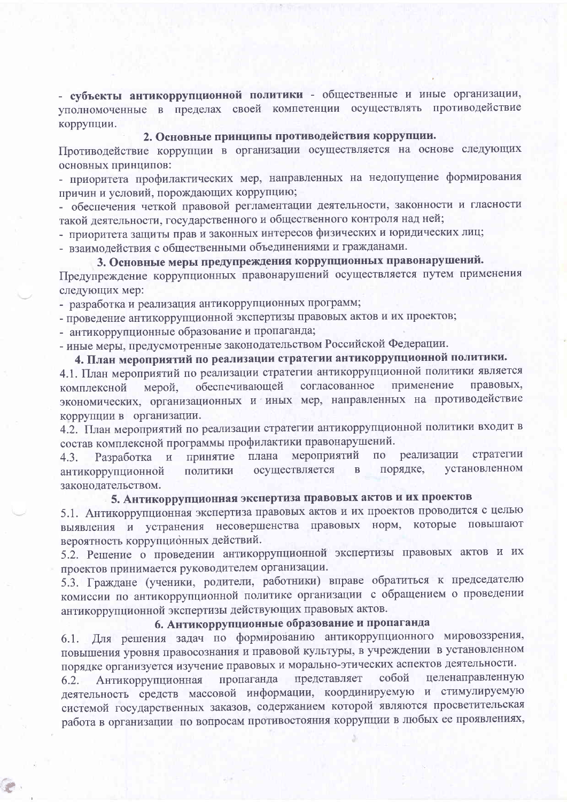- субъекты антикоррупционной политики - общественные и иные организации, уполномоченные в пределах своей компетенции осуществлять противодействие коррупции.

#### 2. Основные принципы противодействия коррупции.

Противодействие коррупции в организации осуществляется на основе следующих основных принципов:

- приоритета профилактических мер, направленных на недопущение формирования причин и условий, порождающих коррупцию;

- обеспечения четкой правовой регламентации деятельности, законности и гласности такой деятельности, государственного и общественного контроля над ней;

- приоритета защиты прав и законных интересов физических и юридических лиц;

- взаимодействия с общественными объединениями и гражданами.

### 3. Основные меры предупреждения коррупционных правонарушений.

Предупреждение коррупционных правонарушений осуществляется путем применения следующих мер:

- разработка и реализация антикоррупционных программ;

- проведение антикоррупционной экспертизы правовых актов и их проектов;

- антикоррупционные образование и пропаганда;

- иные меры, предусмотренные законодательством Российской Федерации.

# 4. План мероприятий по реализации стратегии антикоррупционной политики.

4.1. План мероприятий по реализации стратегии антикоррупционной политики является применение правовых, обеспечивающей согласованное мерой. комплексной экономических, организационных и иных мер, направленных на противодействие коррупции в организации.

4.2. План мероприятий по реализации стратегии антикоррупционной политики входит в состав комплексной программы профилактики правонарушений.

стратегии мероприятий  $\overline{0}$ реализации плана и принятие  $4.3.$ Разработка установленном порядке, осуществляется  $\overline{B}$ политики антикоррупционной законолательством.

### 5. Антикоррупционная экспертиза правовых актов и их проектов

5.1. Антикоррупционная экспертиза правовых актов и их проектов проводится с целью выявления и устранения несовершенства правовых норм, которые повышают вероятность коррупционных действий.

5.2. Решение о проведении антикоррупционной экспертизы правовых актов и их проектов принимается руководителем организации.

5.3. Граждане (ученики, родители, работники) вправе обратиться к председателю комиссии по антикоррупционной политике организации с обращением о проведении антикоррупционной экспертизы действующих правовых актов.

## 6. Антикоррупционные образование и пропаганда

6.1. Для решения задач по формированию антикоррупционного мировоззрения, повышения уровня правосознания и правовой культуры, в учреждении в установленном порядке организуется изучение правовых и морально-этических аспектов деятельности.

целенаправленную пропаганда представляет собой 6.2. Антикоррупционная деятельность средств массовой информации, координируемую и стимулируемую системой государственных заказов, содержанием которой являются просветительская работа в организации по вопросам противостояния коррупции в любых ее проявлениях,